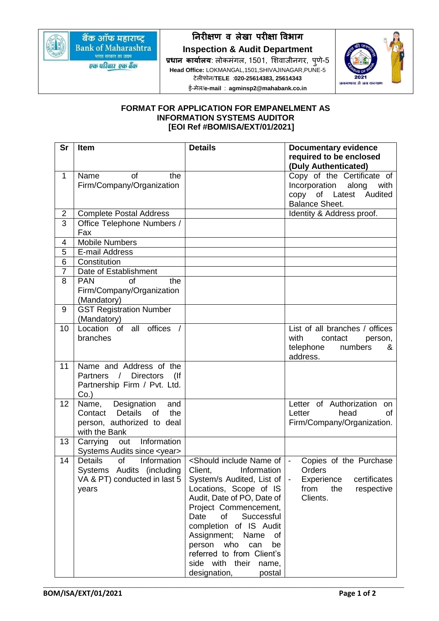

बैंक ऑफ महाराष्ट्र **Bank of Maharashtra** भारत सरकार का उद्यम

एक परिवार एक बैंक

**निरीक्षण व लेखा परीक्षा ववभाग**

**Inspection & Audit Department प्रधाि कार्ाालर्**: लोकमंगल, 1501, शिवाजीनगर, पुणे-5 **Head Office:** LOKMANGAL,1501,SHIVAJINAGAR,PUNE-5 टेलीफोन/**TELE** :**020-25614383, 25614343** ई-मेल/**e-mail** : **agminsp2@mahabank.co.in**



## **FORMAT FOR APPLICATION FOR EMPANELMENT AS INFORMATION SYSTEMS AUDITOR [EOI Ref #BOM/ISA/EXT/01/2021]**

| <b>Sr</b>               | <b>Item</b>                                      | <b>Details</b>                                                                   | <b>Documentary evidence</b>           |
|-------------------------|--------------------------------------------------|----------------------------------------------------------------------------------|---------------------------------------|
|                         |                                                  |                                                                                  | required to be enclosed               |
|                         |                                                  |                                                                                  | (Duly Authenticated)                  |
| $\mathbf 1$             | of<br>Name<br>the                                |                                                                                  | Copy of the Certificate of            |
|                         | Firm/Company/Organization                        |                                                                                  | Incorporation<br>along<br>with        |
|                         |                                                  |                                                                                  | copy of Latest Audited                |
|                         |                                                  |                                                                                  | <b>Balance Sheet.</b>                 |
| $\overline{\mathbf{c}}$ | <b>Complete Postal Address</b>                   |                                                                                  | Identity & Address proof.             |
| $\overline{3}$          | Office Telephone Numbers /                       |                                                                                  |                                       |
|                         | Fax                                              |                                                                                  |                                       |
| 4                       | <b>Mobile Numbers</b>                            |                                                                                  |                                       |
| 5                       | E-mail Address                                   |                                                                                  |                                       |
| 6                       | Constitution                                     |                                                                                  |                                       |
| $\overline{7}$          | Date of Establishment                            |                                                                                  |                                       |
| 8                       | <b>PAN</b><br>the<br>Ωf                          |                                                                                  |                                       |
|                         | Firm/Company/Organization                        |                                                                                  |                                       |
|                         | (Mandatory)                                      |                                                                                  |                                       |
| 9                       | <b>GST Registration Number</b>                   |                                                                                  |                                       |
|                         | (Mandatory)<br>Location of all offices           |                                                                                  |                                       |
| 10                      |                                                  |                                                                                  | List of all branches / offices        |
|                         | branches                                         |                                                                                  | with<br>contact<br>person,            |
|                         |                                                  |                                                                                  | telephone<br>numbers<br>&<br>address. |
| 11                      | Name and Address of the                          |                                                                                  |                                       |
|                         | Partners / Directors<br>$($ lf                   |                                                                                  |                                       |
|                         | Partnership Firm / Pvt. Ltd.                     |                                                                                  |                                       |
|                         | Co.                                              |                                                                                  |                                       |
| 12                      | Designation<br>Name,<br>and                      |                                                                                  | Letter of Authorization<br>on         |
|                         | <b>Details</b><br>Contact<br>of<br>the           |                                                                                  | head<br>Letter<br>Ωf                  |
|                         | person, authorized to deal                       |                                                                                  | Firm/Company/Organization.            |
|                         | with the Bank                                    |                                                                                  |                                       |
| 13                      | Carrying out Information                         |                                                                                  |                                       |
|                         | Systems Audits since <year></year>               |                                                                                  |                                       |
| 14                      | $\overline{of}$<br><b>Details</b><br>Information | <should include="" name="" of<="" td=""><td>Copies of the Purchase</td></should> | Copies of the Purchase                |
|                         | Systems Audits (including                        | Client,<br>Information                                                           | Orders                                |
|                         | VA & PT) conducted in last 5                     | System/s Audited, List of                                                        | Experience<br>certificates            |
|                         | years                                            | Locations, Scope of IS                                                           | from<br>the<br>respective             |
|                         |                                                  | Audit, Date of PO, Date of                                                       | Clients.                              |
|                         |                                                  | Project Commencement,                                                            |                                       |
|                         |                                                  | Date<br>of<br>Successful                                                         |                                       |
|                         |                                                  | completion of IS Audit                                                           |                                       |
|                         |                                                  | Assignment;<br>Name<br>οf                                                        |                                       |
|                         |                                                  | who<br>person<br>be<br>can                                                       |                                       |
|                         |                                                  | referred to from Client's                                                        |                                       |
|                         |                                                  | side with<br>their<br>name,                                                      |                                       |
|                         |                                                  | designation,<br>postal                                                           |                                       |

\_\_\_\_\_\_\_\_\_\_\_\_\_\_\_\_\_\_\_\_\_\_\_\_\_\_\_\_\_\_\_\_\_\_\_\_\_\_\_\_\_\_\_\_\_\_\_\_\_\_\_\_\_\_\_\_\_\_\_\_\_\_\_\_\_\_\_\_\_\_\_\_\_\_\_\_\_\_\_\_